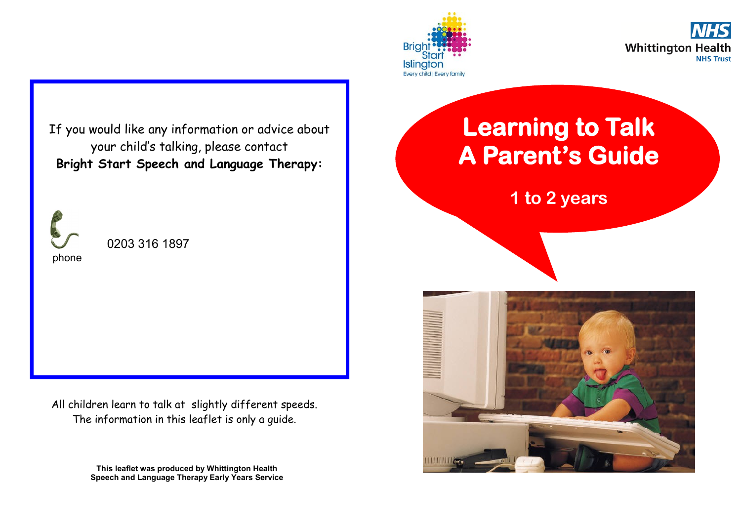



If you would like any information or advice about your child's talking, please contact **Bright Start Speech and Language Therapy:**



0203 316 1897

All children learn to talk at slightly different speeds. The information in this leaflet is only a guide.

> **This leaflet was produced by Whittington Health Speech and Language Therapy Early Years Service**

## **Learning to Talk A Parent's Guide**

**1 to 2 years**